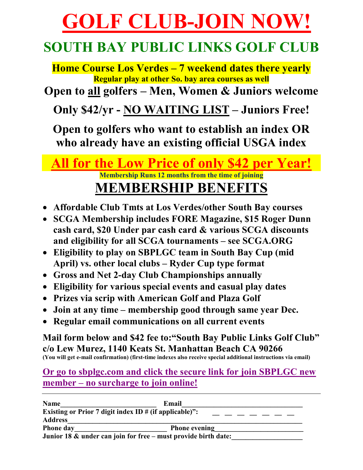# **GOLF CLUB-JOIN NOW!**

### **SOUTH BAY PUBLIC LINKS GOLF CLUB**

**Home Course Los Verdes – 7 weekend dates there yearly Regular play at other So. bay area courses as well** 

**Open to all golfers – Men, Women & Juniors welcome**

**Only \$42/yr - NO WAITING LIST – Juniors Free!** 

**Open to golfers who want to establish an index OR who already have an existing official USGA index**

## **All for the Low Price of only \$42 per Year! Membership Runs 12 months from the time of joining**

#### **MEMBERSHIP BENEFITS**

- **Affordable Club Tmts at Los Verdes/other South Bay courses**
- **SCGA Membership includes FORE Magazine, \$15 Roger Dunn cash card, \$20 Under par cash card & various SCGA discounts and eligibility for all SCGA tournaments – see SCGA.ORG**
- **Eligibility to play on SBPLGC team in South Bay Cup (mid April) vs. other local clubs – Ryder Cup type format**
- **Gross and Net 2-day Club Championships annually**
- **Eligibility for various special events and casual play dates**
- **Prizes via scrip with American Golf and Plaza Golf**
- **Join at any time membership good through same year Dec.**
- **Regular email communications on all current events**

**Mail form below and \$42 fee to:"South Bay Public Links Golf Club" c/o Lew Murez, 1140 Keats St. Manhattan Beach CA 90266 (You will get e-mail confirmation) (first-time indexes also receive special additional instructions via email)**

**Or go to sbplgc.com and click the secure link for join SBPLGC new member – no surcharge to join online!** 

| <b>Name</b>                                                                         | Email                |
|-------------------------------------------------------------------------------------|----------------------|
| Existing or Prior 7 digit index ID $#$ (if applicable)":<br>__ __ __ __ __ __ __ __ |                      |
| <b>Address</b>                                                                      |                      |
| <b>Phone day</b>                                                                    | <b>Phone evening</b> |
| Junior 18 & under can join for free – must provide birth date:                      |                      |